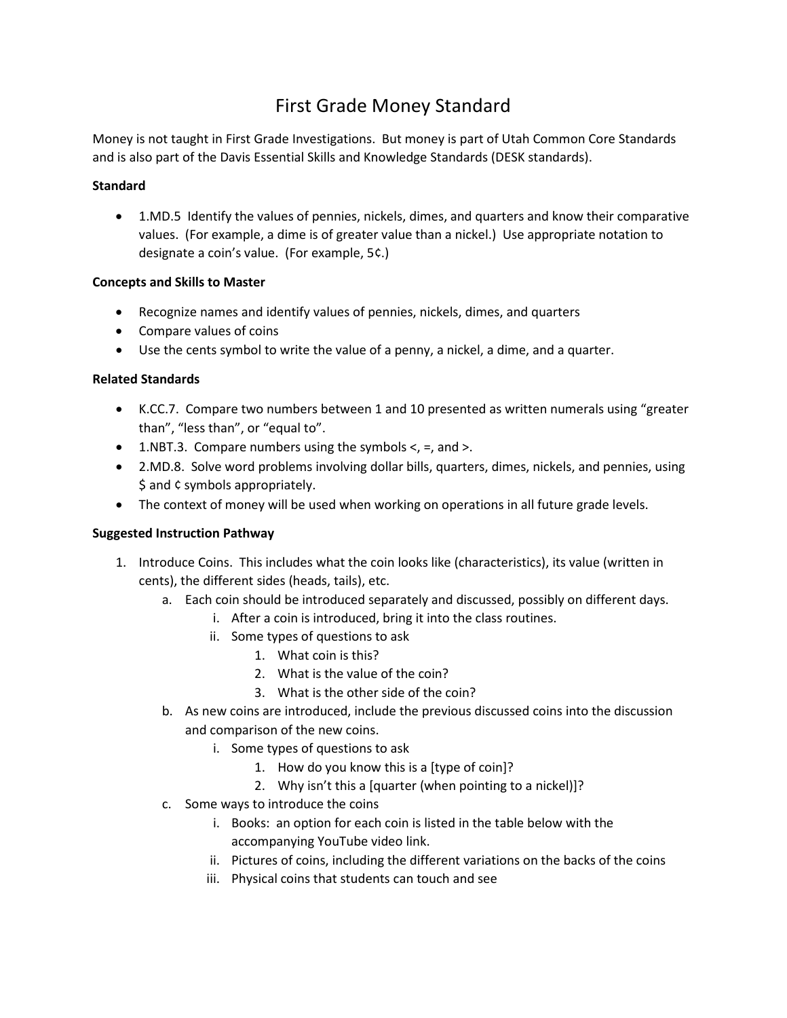# First Grade Money Standard

Money is not taught in First Grade Investigations. But money is part of Utah Common Core Standards and is also part of the Davis Essential Skills and Knowledge Standards (DESK standards).

#### **Standard**

• 1.MD.5 Identify the values of pennies, nickels, dimes, and quarters and know their comparative values. (For example, a dime is of greater value than a nickel.) Use appropriate notation to designate a coin's value. (For example, 5¢.)

#### **Concepts and Skills to Master**

- Recognize names and identify values of pennies, nickels, dimes, and quarters
- Compare values of coins
- Use the cents symbol to write the value of a penny, a nickel, a dime, and a quarter.

### **Related Standards**

- K.CC.7. Compare two numbers between 1 and 10 presented as written numerals using "greater than", "less than", or "equal to".
- 1.NBT.3. Compare numbers using the symbols  $\lt$ , =, and  $\gt$ .
- 2.MD.8. Solve word problems involving dollar bills, quarters, dimes, nickels, and pennies, using \$ and ¢ symbols appropriately.
- The context of money will be used when working on operations in all future grade levels.

## **Suggested Instruction Pathway**

- 1. Introduce Coins. This includes what the coin looks like (characteristics), its value (written in cents), the different sides (heads, tails), etc.
	- a. Each coin should be introduced separately and discussed, possibly on different days.
		- i. After a coin is introduced, bring it into the class routines.
		- ii. Some types of questions to ask
			- 1. What coin is this?
			- 2. What is the value of the coin?
			- 3. What is the other side of the coin?
	- b. As new coins are introduced, include the previous discussed coins into the discussion and comparison of the new coins.
		- i. Some types of questions to ask
			- 1. How do you know this is a [type of coin]?
			- 2. Why isn't this a [quarter (when pointing to a nickel)]?
	- c. Some ways to introduce the coins
		- i. Books: an option for each coin is listed in the table below with the accompanying YouTube video link.
		- ii. Pictures of coins, including the different variations on the backs of the coins
		- iii. Physical coins that students can touch and see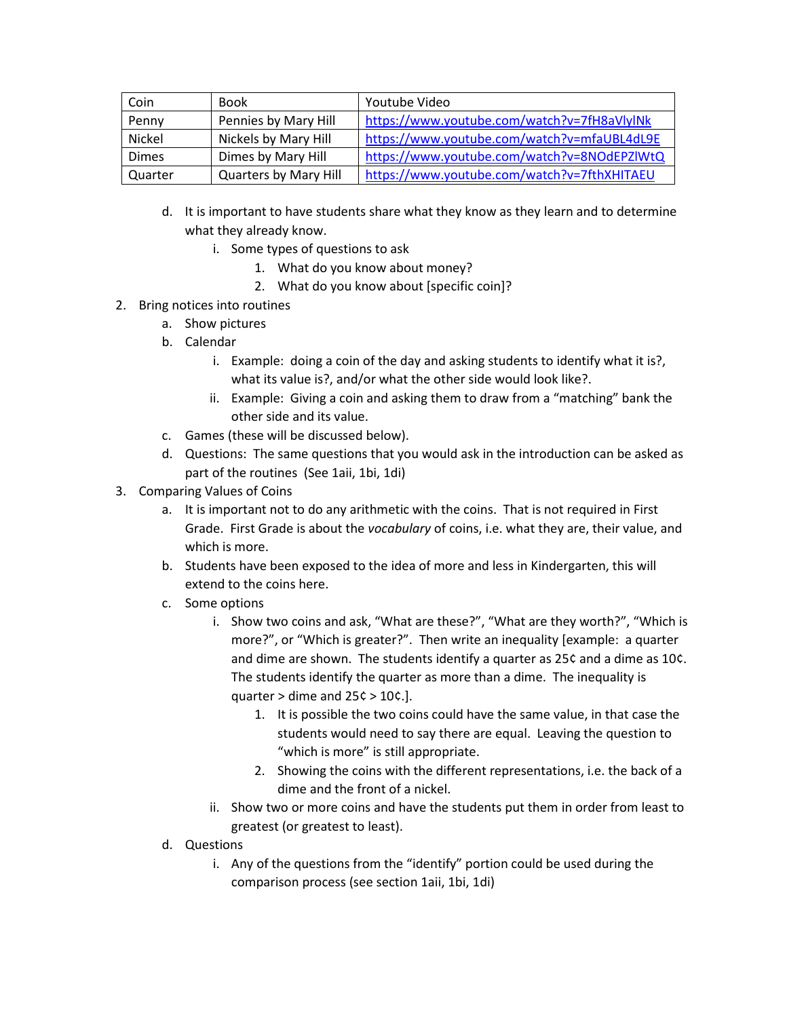| Coin         | Book                  | Youtube Video                               |
|--------------|-----------------------|---------------------------------------------|
| Penny        | Pennies by Mary Hill  | https://www.youtube.com/watch?v=7fH8aVlylNk |
| Nickel       | Nickels by Mary Hill  | https://www.youtube.com/watch?v=mfaUBL4dL9E |
| <b>Dimes</b> | Dimes by Mary Hill    | https://www.youtube.com/watch?v=8NOdEPZIWtQ |
| Quarter      | Quarters by Mary Hill | https://www.youtube.com/watch?v=7fthXHITAEU |

- d. It is important to have students share what they know as they learn and to determine what they already know.
	- i. Some types of questions to ask
		- 1. What do you know about money?
		- 2. What do you know about [specific coin]?
- 2. Bring notices into routines
	- a. Show pictures
	- b. Calendar
		- i. Example: doing a coin of the day and asking students to identify what it is?, what its value is?, and/or what the other side would look like?.
		- ii. Example: Giving a coin and asking them to draw from a "matching" bank the other side and its value.
	- c. Games (these will be discussed below).
	- d. Questions: The same questions that you would ask in the introduction can be asked as part of the routines (See 1aii, 1bi, 1di)
- 3. Comparing Values of Coins
	- a. It is important not to do any arithmetic with the coins. That is not required in First Grade. First Grade is about the *vocabulary* of coins, i.e. what they are, their value, and which is more.
	- b. Students have been exposed to the idea of more and less in Kindergarten, this will extend to the coins here.
	- c. Some options
		- i. Show two coins and ask, "What are these?", "What are they worth?", "Which is more?", or "Which is greater?". Then write an inequality [example: a quarter and dime are shown. The students identify a quarter as 25¢ and a dime as 10¢. The students identify the quarter as more than a dime. The inequality is quarter  $>$  dime and 25 $\zeta$   $>$  10 $\zeta$ .].
			- 1. It is possible the two coins could have the same value, in that case the students would need to say there are equal. Leaving the question to "which is more" is still appropriate.
			- 2. Showing the coins with the different representations, i.e. the back of a dime and the front of a nickel.
		- ii. Show two or more coins and have the students put them in order from least to greatest (or greatest to least).
	- d. Questions
		- i. Any of the questions from the "identify" portion could be used during the comparison process (see section 1aii, 1bi, 1di)